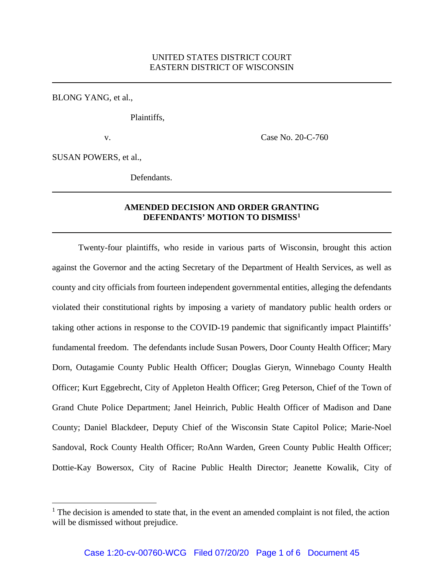BLONG YANG, et al.,

Plaintiffs,

v. Case No. 20-C-760

SUSAN POWERS, et al.,

Defendants.

## **AMENDED DECISION AND ORDER GRANTING DEFENDANTS' MOTION TO DISMISS[1](#page-0-0)**

Twenty-four plaintiffs, who reside in various parts of Wisconsin, brought this action against the Governor and the acting Secretary of the Department of Health Services, as well as county and city officials from fourteen independent governmental entities, alleging the defendants violated their constitutional rights by imposing a variety of mandatory public health orders or taking other actions in response to the COVID-19 pandemic that significantly impact Plaintiffs' fundamental freedom. The defendants include Susan Powers, Door County Health Officer; Mary Dorn, Outagamie County Public Health Officer; Douglas Gieryn, Winnebago County Health Officer; Kurt Eggebrecht, City of Appleton Health Officer; Greg Peterson, Chief of the Town of Grand Chute Police Department; Janel Heinrich, Public Health Officer of Madison and Dane County; Daniel Blackdeer, Deputy Chief of the Wisconsin State Capitol Police; Marie-Noel Sandoval, Rock County Health Officer; RoAnn Warden, Green County Public Health Officer; Dottie-Kay Bowersox, City of Racine Public Health Director; Jeanette Kowalik, City of

<span id="page-0-0"></span> $<sup>1</sup>$  The decision is amended to state that, in the event an amended complaint is not filed, the action</sup> will be dismissed without prejudice.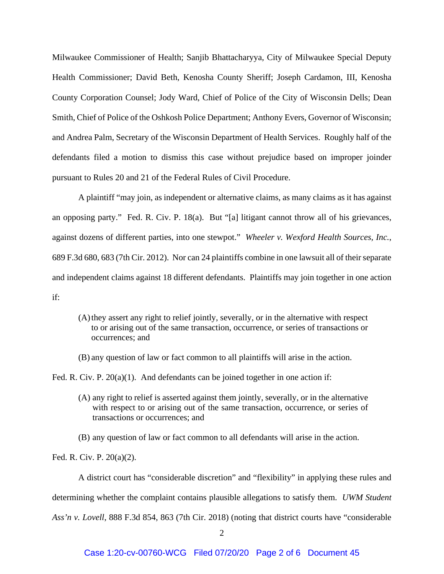Milwaukee Commissioner of Health; Sanjib Bhattacharyya, City of Milwaukee Special Deputy Health Commissioner; David Beth, Kenosha County Sheriff; Joseph Cardamon, III, Kenosha County Corporation Counsel; Jody Ward, Chief of Police of the City of Wisconsin Dells; Dean Smith, Chief of Police of the Oshkosh Police Department; Anthony Evers, Governor of Wisconsin; and Andrea Palm, Secretary of the Wisconsin Department of Health Services. Roughly half of the defendants filed a motion to dismiss this case without prejudice based on improper joinder pursuant to Rules 20 and 21 of the Federal Rules of Civil Procedure.

A plaintiff "may join, as independent or alternative claims, as many claims as it has against an opposing party." Fed. R. Civ. P. 18(a). But "[a] litigant cannot throw all of his grievances, against dozens of different parties, into one stewpot." *Wheeler v. Wexford Health Sources, Inc.*, 689 F.3d 680, 683 (7th Cir. 2012). Nor can 24 plaintiffs combine in one lawsuit all of their separate and independent claims against 18 different defendants. Plaintiffs may join together in one action if:

- (A)they assert any right to relief jointly, severally, or in the alternative with respect to or arising out of the same transaction, occurrence, or series of transactions or occurrences; and
- (B) any question of law or fact common to all plaintiffs will arise in the action.

Fed. R. Civ. P. 20(a)(1). And defendants can be joined together in one action if:

- (A) any right to relief is asserted against them jointly, severally, or in the alternative with respect to or arising out of the same transaction, occurrence, or series of transactions or occurrences; and
- (B) any question of law or fact common to all defendants will arise in the action.

Fed. R. Civ. P. 20(a)(2).

A district court has "considerable discretion" and "flexibility" in applying these rules and determining whether the complaint contains plausible allegations to satisfy them. *UWM Student Ass'n v. Lovell*, 888 F.3d 854, 863 (7th Cir. 2018) (noting that district courts have "considerable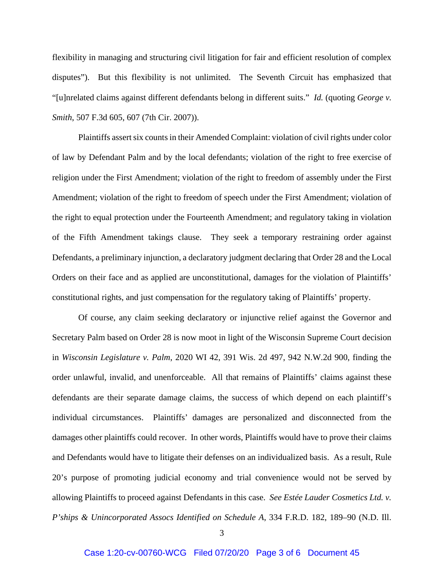flexibility in managing and structuring civil litigation for fair and efficient resolution of complex disputes"). But this flexibility is not unlimited. The Seventh Circuit has emphasized that "[u]nrelated claims against different defendants belong in different suits." *Id.* (quoting *George v. Smith*, 507 F.3d 605, 607 (7th Cir. 2007)).

Plaintiffs assert six counts in their Amended Complaint: violation of civil rights under color of law by Defendant Palm and by the local defendants; violation of the right to free exercise of religion under the First Amendment; violation of the right to freedom of assembly under the First Amendment; violation of the right to freedom of speech under the First Amendment; violation of the right to equal protection under the Fourteenth Amendment; and regulatory taking in violation of the Fifth Amendment takings clause. They seek a temporary restraining order against Defendants, a preliminary injunction, a declaratory judgment declaring that Order 28 and the Local Orders on their face and as applied are unconstitutional, damages for the violation of Plaintiffs' constitutional rights, and just compensation for the regulatory taking of Plaintiffs' property.

Of course, any claim seeking declaratory or injunctive relief against the Governor and Secretary Palm based on Order 28 is now moot in light of the Wisconsin Supreme Court decision in *Wisconsin Legislature v. Palm*, 2020 WI 42, 391 Wis. 2d 497, 942 N.W.2d 900, finding the order unlawful, invalid, and unenforceable. All that remains of Plaintiffs' claims against these defendants are their separate damage claims, the success of which depend on each plaintiff's individual circumstances. Plaintiffs' damages are personalized and disconnected from the damages other plaintiffs could recover. In other words, Plaintiffs would have to prove their claims and Defendants would have to litigate their defenses on an individualized basis. As a result, Rule 20's purpose of promoting judicial economy and trial convenience would not be served by allowing Plaintiffs to proceed against Defendants in this case. *See Estée Lauder Cosmetics Ltd. v. P'ships & Unincorporated Assocs Identified on Schedule A*, 334 F.R.D. 182, 189–90 (N.D. Ill.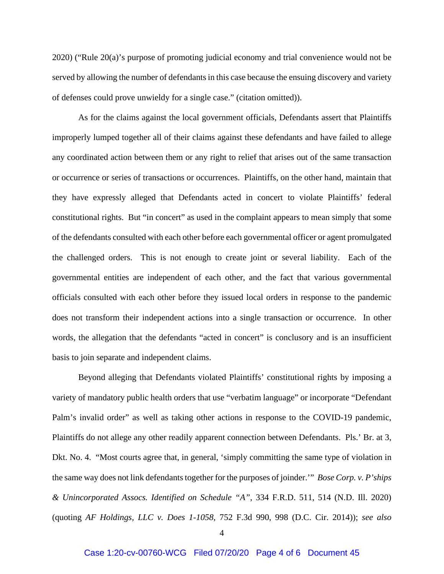2020) ("Rule 20(a)'s purpose of promoting judicial economy and trial convenience would not be served by allowing the number of defendants in this case because the ensuing discovery and variety of defenses could prove unwieldy for a single case." (citation omitted)).

As for the claims against the local government officials, Defendants assert that Plaintiffs improperly lumped together all of their claims against these defendants and have failed to allege any coordinated action between them or any right to relief that arises out of the same transaction or occurrence or series of transactions or occurrences. Plaintiffs, on the other hand, maintain that they have expressly alleged that Defendants acted in concert to violate Plaintiffs' federal constitutional rights. But "in concert" as used in the complaint appears to mean simply that some of the defendants consulted with each other before each governmental officer or agent promulgated the challenged orders. This is not enough to create joint or several liability. Each of the governmental entities are independent of each other, and the fact that various governmental officials consulted with each other before they issued local orders in response to the pandemic does not transform their independent actions into a single transaction or occurrence. In other words, the allegation that the defendants "acted in concert" is conclusory and is an insufficient basis to join separate and independent claims.

Beyond alleging that Defendants violated Plaintiffs' constitutional rights by imposing a variety of mandatory public health orders that use "verbatim language" or incorporate "Defendant Palm's invalid order" as well as taking other actions in response to the COVID-19 pandemic, Plaintiffs do not allege any other readily apparent connection between Defendants. Pls.' Br. at 3, Dkt. No. 4. "Most courts agree that, in general, 'simply committing the same type of violation in the same way does not link defendants together for the purposes of joinder.'" *Bose Corp. v. P'ships & Unincorporated Assocs. Identified on Schedule "A"*, 334 F.R.D. 511, 514 (N.D. Ill. 2020) (quoting *AF Holdings, LLC v. Does 1-1058*, 752 F.3d 990, 998 (D.C. Cir. 2014)); *see also*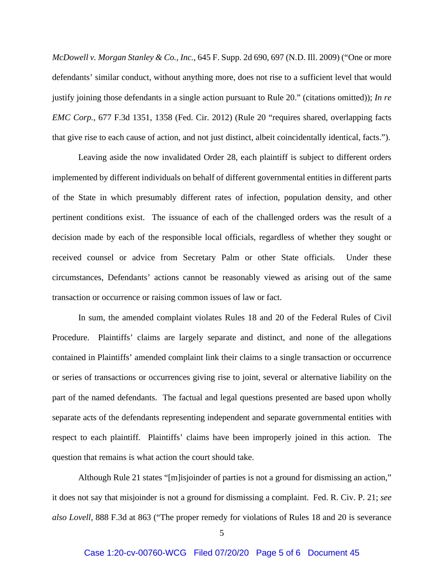*McDowell v. Morgan Stanley & Co., Inc.*, 645 F. Supp. 2d 690, 697 (N.D. Ill. 2009) ("One or more defendants' similar conduct, without anything more, does not rise to a sufficient level that would justify joining those defendants in a single action pursuant to Rule 20." (citations omitted)); *In re EMC Corp.*, 677 F.3d 1351, 1358 (Fed. Cir. 2012) (Rule 20 "requires shared, overlapping facts that give rise to each cause of action, and not just distinct, albeit coincidentally identical, facts.").

Leaving aside the now invalidated Order 28, each plaintiff is subject to different orders implemented by different individuals on behalf of different governmental entities in different parts of the State in which presumably different rates of infection, population density, and other pertinent conditions exist. The issuance of each of the challenged orders was the result of a decision made by each of the responsible local officials, regardless of whether they sought or received counsel or advice from Secretary Palm or other State officials. Under these circumstances, Defendants' actions cannot be reasonably viewed as arising out of the same transaction or occurrence or raising common issues of law or fact.

In sum, the amended complaint violates Rules 18 and 20 of the Federal Rules of Civil Procedure. Plaintiffs' claims are largely separate and distinct, and none of the allegations contained in Plaintiffs' amended complaint link their claims to a single transaction or occurrence or series of transactions or occurrences giving rise to joint, several or alternative liability on the part of the named defendants. The factual and legal questions presented are based upon wholly separate acts of the defendants representing independent and separate governmental entities with respect to each plaintiff. Plaintiffs' claims have been improperly joined in this action. The question that remains is what action the court should take.

Although Rule 21 states "[m]isjoinder of parties is not a ground for dismissing an action," it does not say that misjoinder is not a ground for dismissing a complaint. Fed. R. Civ. P. 21; *see also Lovell*, 888 F.3d at 863 ("The proper remedy for violations of Rules 18 and 20 is severance